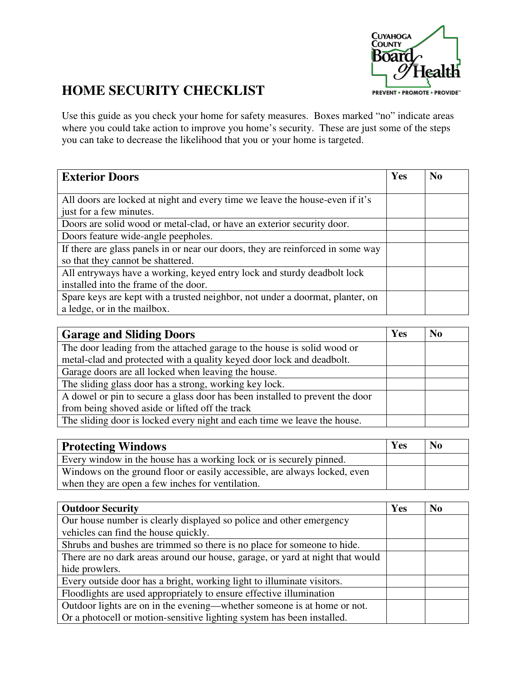

## **HOME SECURITY CHECKLIST**

Use this guide as you check your home for safety measures. Boxes marked "no" indicate areas where you could take action to improve you home's security. These are just some of the steps you can take to decrease the likelihood that you or your home is targeted.

| <b>Exterior Doors</b>                                                           | Yes | N <sub>0</sub> |
|---------------------------------------------------------------------------------|-----|----------------|
|                                                                                 |     |                |
| All doors are locked at night and every time we leave the house-even if it's    |     |                |
| just for a few minutes.                                                         |     |                |
| Doors are solid wood or metal-clad, or have an exterior security door.          |     |                |
| Doors feature wide-angle peepholes.                                             |     |                |
| If there are glass panels in or near our doors, they are reinforced in some way |     |                |
| so that they cannot be shattered.                                               |     |                |
| All entryways have a working, keyed entry lock and sturdy deadbolt lock         |     |                |
| installed into the frame of the door.                                           |     |                |
| Spare keys are kept with a trusted neighbor, not under a doormat, planter, on   |     |                |
| a ledge, or in the mailbox.                                                     |     |                |

| <b>Garage and Sliding Doors</b>                                                                                                                  | Yes | N <sub>0</sub> |
|--------------------------------------------------------------------------------------------------------------------------------------------------|-----|----------------|
| The door leading from the attached garage to the house is solid wood or<br>metal-clad and protected with a quality keyed door lock and deadbolt. |     |                |
| Garage doors are all locked when leaving the house.                                                                                              |     |                |
| The sliding glass door has a strong, working key lock.                                                                                           |     |                |
| A dowel or pin to secure a glass door has been installed to prevent the door                                                                     |     |                |
| from being shoved aside or lifted off the track                                                                                                  |     |                |
| The sliding door is locked every night and each time we leave the house.                                                                         |     |                |

| <b>Protecting Windows</b>                                                 | Yes | N <sub>0</sub> |
|---------------------------------------------------------------------------|-----|----------------|
| Every window in the house has a working lock or is securely pinned.       |     |                |
| Windows on the ground floor or easily accessible, are always locked, even |     |                |
| when they are open a few inches for ventilation.                          |     |                |

| <b>Outdoor Security</b>                                                       | Yes | N <sub>0</sub> |
|-------------------------------------------------------------------------------|-----|----------------|
| Our house number is clearly displayed so police and other emergency           |     |                |
| vehicles can find the house quickly.                                          |     |                |
| Shrubs and bushes are trimmed so there is no place for someone to hide.       |     |                |
| There are no dark areas around our house, garage, or yard at night that would |     |                |
| hide prowlers.                                                                |     |                |
| Every outside door has a bright, working light to illuminate visitors.        |     |                |
| Floodlights are used appropriately to ensure effective illumination           |     |                |
| Outdoor lights are on in the evening—whether someone is at home or not.       |     |                |
| Or a photocell or motion-sensitive lighting system has been installed.        |     |                |